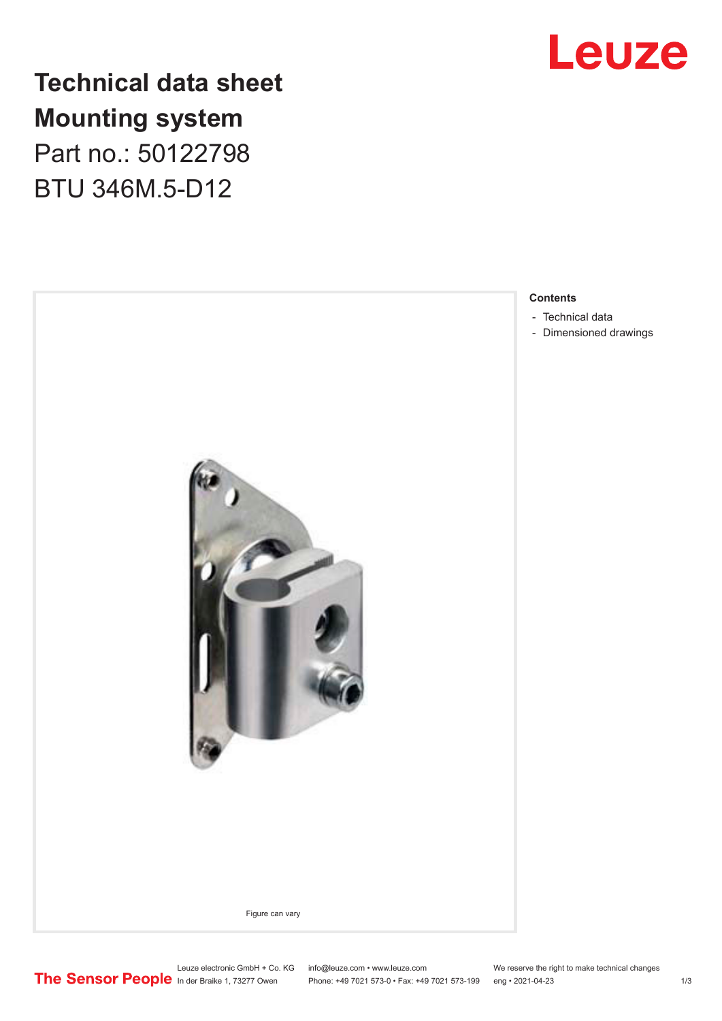

## **Technical data sheet Mounting system** Part no.: 50122798 BTU 346M.5-D12



- [Dimensioned drawings](#page-2-0)

Leuze electronic GmbH + Co. KG info@leuze.com • www.leuze.com We reserve the right to make technical changes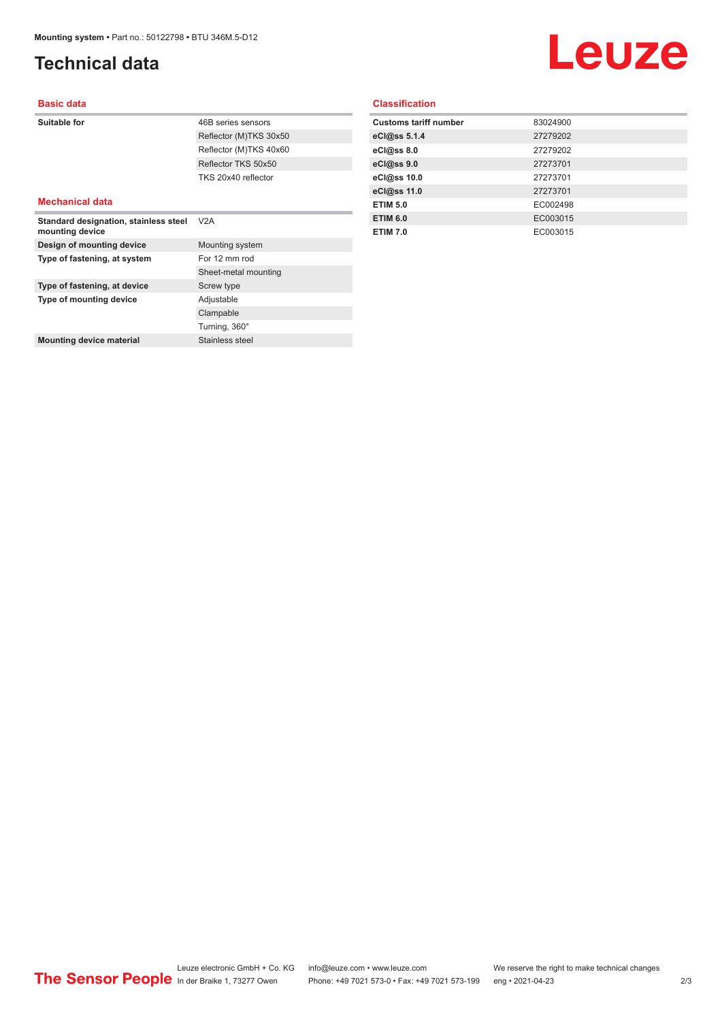### <span id="page-1-0"></span>**Technical data**

# Leuze

#### **Basic data**

| Suitable for                                             | 46B series sensors     |
|----------------------------------------------------------|------------------------|
|                                                          | Reflector (M)TKS 30x50 |
|                                                          | Reflector (M)TKS 40x60 |
|                                                          | Reflector TKS 50x50    |
|                                                          | TKS 20x40 reflector    |
|                                                          |                        |
| <b>Mechanical data</b>                                   |                        |
| Standard designation, stainless steel<br>mounting device | V2A                    |
| Design of mounting device                                | Mounting system        |

| Type of fastening, at system    | For 12 mm rod        |
|---------------------------------|----------------------|
|                                 | Sheet-metal mounting |
| Type of fastening, at device    | Screw type           |
| Type of mounting device         | Adjustable           |
|                                 | Clampable            |
|                                 | Turning, 360°        |
| <b>Mounting device material</b> | Stainless steel      |
|                                 |                      |

#### **Classification**

| <b>Customs tariff number</b> | 83024900 |
|------------------------------|----------|
| eCl@ss 5.1.4                 | 27279202 |
| eC <sub>1</sub> @ss 8.0      | 27279202 |
| eCl@ss 9.0                   | 27273701 |
| eCl@ss 10.0                  | 27273701 |
| eCl@ss 11.0                  | 27273701 |
| <b>ETIM 5.0</b>              | EC002498 |
| <b>ETIM 6.0</b>              | EC003015 |
| <b>ETIM 7.0</b>              | EC003015 |
|                              |          |